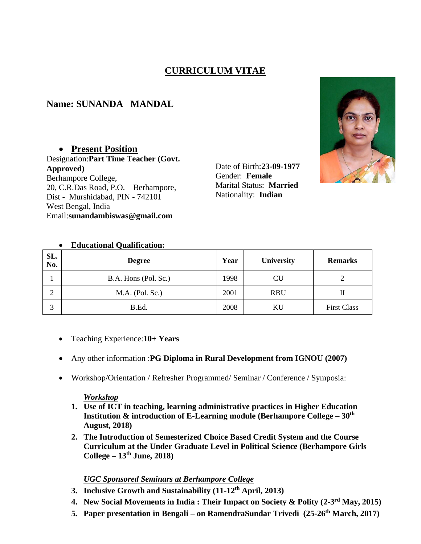# **CURRICULUM VITAE**

## **Name: SUNANDA MANDAL**

### • **Present Position**

Designation:**Part Time Teacher (Govt. Approved)** Berhampore College, 20, C.R.Das Road, P.O. – Berhampore, Dist - Murshidabad, PIN - 742101 West Bengal, India Email:**sunandambiswas@gmail.com**

Date of Birth:**23-09-1977** Gender: **Female** Marital Status: **Married** Nationality: **Indian**



#### • **Educational Qualification:**

| SL.<br>No. | <b>Degree</b>        | Year | <b>University</b> | <b>Remarks</b>     |
|------------|----------------------|------|-------------------|--------------------|
|            | B.A. Hons (Pol. Sc.) | 1998 | CU                |                    |
| ↑<br>∠     | $M.A.$ (Pol. Sc.)    | 2001 | <b>RBU</b>        | п                  |
| 3          | B.Ed.                | 2008 | ΚU                | <b>First Class</b> |

- Teaching Experience:**10+ Years**
- Any other information :**PG Diploma in Rural Development from IGNOU (2007)**
- Workshop/Orientation / Refresher Programmed/ Seminar / Conference / Symposia:

#### *Workshop*

- **1. Use of ICT in teaching, learning administrative practices in Higher Education Institution & introduction of E-Learning module (Berhampore College – 30th August, 2018)**
- **2. The Introduction of Semesterized Choice Based Credit System and the Course Curriculum at the Under Graduate Level in Political Science (Berhampore Girls College – 13th June, 2018)**

#### *UGC Sponsored Seminars at Berhampore College*

- **3. Inclusive Growth and Sustainability (11-12th April, 2013)**
- **4. New Social Movements in India : Their Impact on Society & Polity (2-3 rd May, 2015)**
- **5. Paper presentation in Bengali – on RamendraSundar Trivedi (25-26th March, 2017)**